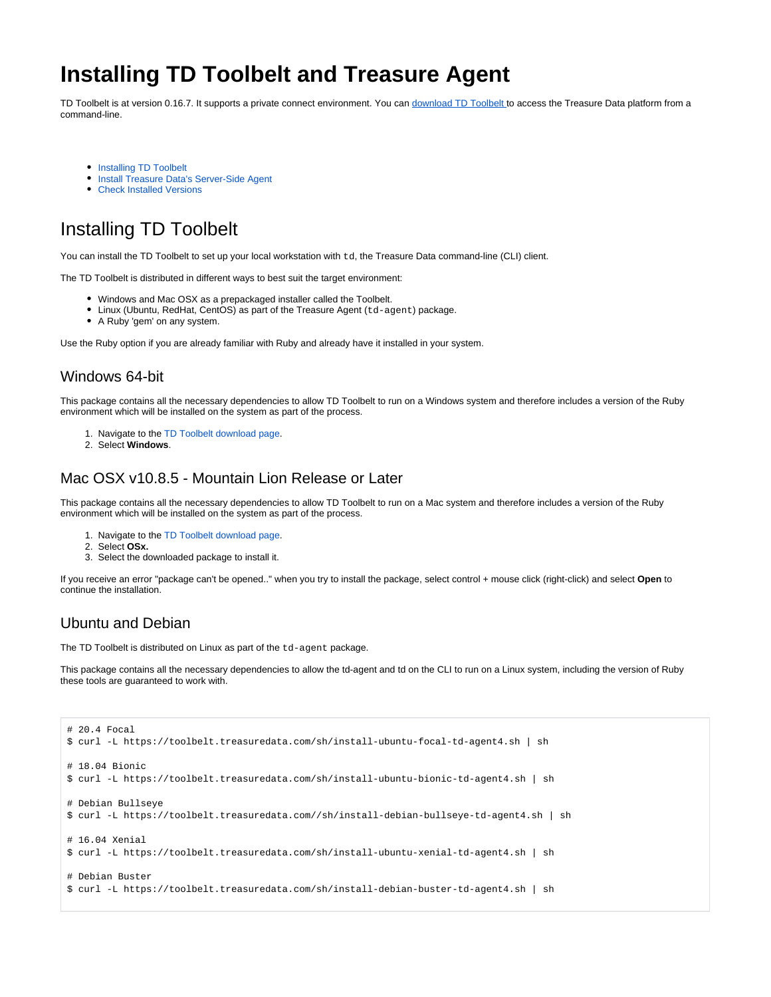# **Installing TD Toolbelt and Treasure Agent**

TD Toolbelt is at version 0.16.7. It supports a private connect environment. You can [download TD Toolbelt](https://toolbelt.treasuredata.com/) to access the Treasure Data platform from a command-line.

- [Installing TD Toolbelt](#page-0-0)
- **[Install Treasure Data's Server-Side Agent](#page-1-0)**
- [Check Installed Versions](#page-2-0)

# <span id="page-0-0"></span>Installing TD Toolbelt

You can install the TD Toolbelt to set up your local workstation with td, the Treasure Data command-line (CLI) client.

The TD Toolbelt is distributed in different ways to best suit the target environment:

- Windows and Mac OSX as a prepackaged installer called the Toolbelt.
- Linux (Ubuntu, RedHat, CentOS) as part of the Treasure Agent (td-agent) package.
- A Ruby 'gem' on any system.

Use the Ruby option if you are already familiar with Ruby and already have it installed in your system.

## Windows 64-bit

This package contains all the necessary dependencies to allow TD Toolbelt to run on a Windows system and therefore includes a version of the Ruby environment which will be installed on the system as part of the process.

- 1. Navigate to the [TD Toolbelt download page](https://toolbelt.treasuredata.com/).
- 2. Select **Windows**.

#### Mac OSX v10.8.5 - Mountain Lion Release or Later

This package contains all the necessary dependencies to allow TD Toolbelt to run on a Mac system and therefore includes a version of the Ruby environment which will be installed on the system as part of the process.

- 1. Navigate to the [TD Toolbelt download page](https://toolbelt.treasuredata.com/).
- 2. Select **OSx.**
- 3. Select the downloaded package to install it.

If you receive an error "package can't be opened.." when you try to install the package, select control + mouse click (right-click) and select **Open** to continue the installation.

## Ubuntu and Debian

The TD Toolbelt is distributed on Linux as part of the td-agent package.

This package contains all the necessary dependencies to allow the td-agent and td on the CLI to run on a Linux system, including the version of Ruby these tools are guaranteed to work with.

```
# 20.4 Focal
$ curl -L https://toolbelt.treasuredata.com/sh/install-ubuntu-focal-td-agent4.sh | sh
# 18.04 Bionic
$ curl -L https://toolbelt.treasuredata.com/sh/install-ubuntu-bionic-td-agent4.sh | sh
# Debian Bullseye
$ curl -L https://toolbelt.treasuredata.com//sh/install-debian-bullseye-td-agent4.sh | sh
# 16.04 Xenial
$ curl -L https://toolbelt.treasuredata.com/sh/install-ubuntu-xenial-td-agent4.sh | sh
# Debian Buster
$ curl -L https://toolbelt.treasuredata.com/sh/install-debian-buster-td-agent4.sh | sh
```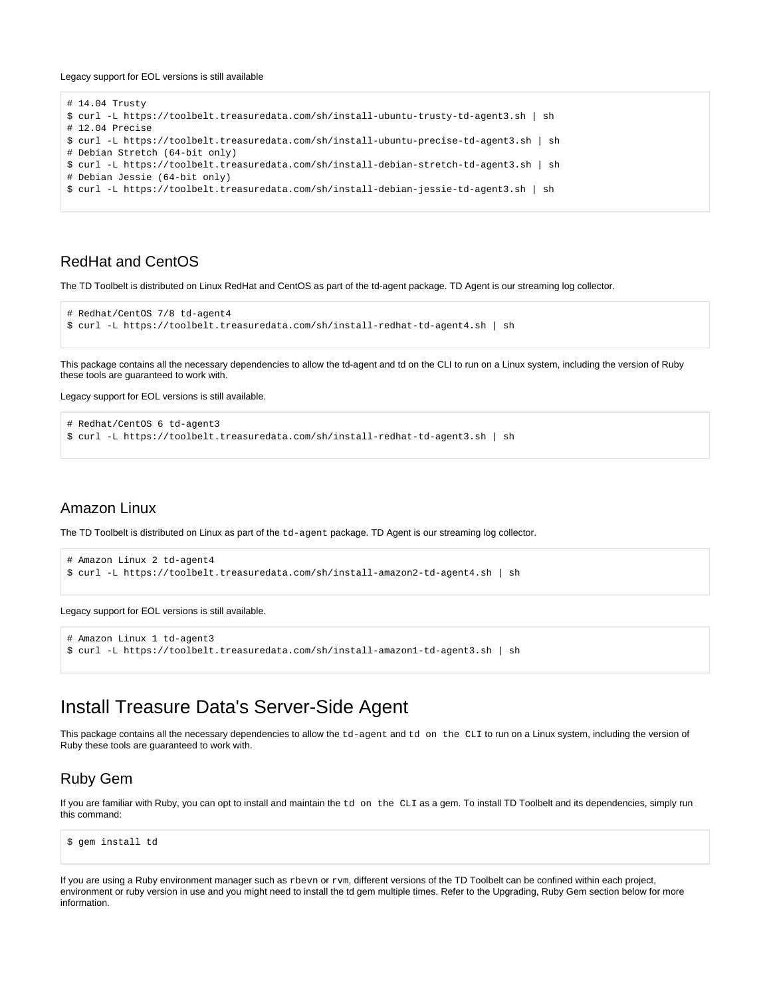#### Legacy support for EOL versions is still available

```
# 14.04 Trusty
$ curl -L https://toolbelt.treasuredata.com/sh/install-ubuntu-trusty-td-agent3.sh | sh
# 12.04 Precise
$ curl -L https://toolbelt.treasuredata.com/sh/install-ubuntu-precise-td-agent3.sh | sh
# Debian Stretch (64-bit only) 
$ curl -L https://toolbelt.treasuredata.com/sh/install-debian-stretch-td-agent3.sh | sh
# Debian Jessie (64-bit only)
$ curl -L https://toolbelt.treasuredata.com/sh/install-debian-jessie-td-agent3.sh | sh
```
### RedHat and CentOS

The TD Toolbelt is distributed on Linux RedHat and CentOS as part of the td-agent package. TD Agent is our streaming log collector.

```
# Redhat/CentOS 7/8 td-agent4
$ curl -L https://toolbelt.treasuredata.com/sh/install-redhat-td-agent4.sh | sh
```
This package contains all the necessary dependencies to allow the td-agent and td on the CLI to run on a Linux system, including the version of Ruby these tools are guaranteed to work with.

Legacy support for EOL versions is still available.

```
# Redhat/CentOS 6 td-agent3
$ curl -L https://toolbelt.treasuredata.com/sh/install-redhat-td-agent3.sh | sh
```
#### Amazon Linux

The TD Toolbelt is distributed on Linux as part of the td-agent package. TD Agent is our streaming log collector.

```
# Amazon Linux 2 td-agent4
$ curl -L https://toolbelt.treasuredata.com/sh/install-amazon2-td-agent4.sh | sh
```
Legacy support for EOL versions is still available.

```
# Amazon Linux 1 td-agent3
$ curl -L https://toolbelt.treasuredata.com/sh/install-amazon1-td-agent3.sh | sh
```
# <span id="page-1-0"></span>Install Treasure Data's Server-Side Agent

This package contains all the necessary dependencies to allow the td-agent and td on the CLI to run on a Linux system, including the version of Ruby these tools are guaranteed to work with.

#### Ruby Gem

If you are familiar with Ruby, you can opt to install and maintain the td on the CLI as a gem. To install TD Toolbelt and its dependencies, simply run this command:

\$ gem install td

If you are using a Ruby environment manager such as xbevn or xvm, different versions of the TD Toolbelt can be confined within each project, environment or ruby version in use and you might need to install the td gem multiple times. Refer to the Upgrading, Ruby Gem section below for more information.